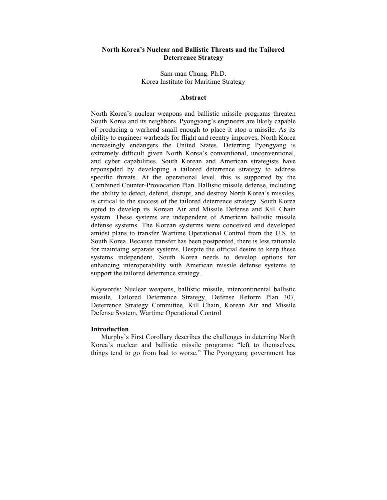# **North Korea's Nuclear and Ballistic Threats and the Tailored Deterrence Strategy**

Sam-man Chung. Ph.D. Korea Institute for Maritime Strategy

## **Abstract**

North Korea's nuclear weapons and ballistic missile programs threaten South Korea and its neighbors. Pyongyang's engineers are likely capable of producing a warhead small enough to place it atop a missile. As its ability to engineer warheads for flight and reentry improves, North Korea increasingly endangers the United States. Deterring Pyongyang is extremely difficult given North Korea's conventional, unconventional, and cyber capabilities. South Korean and American strategists have reponspded by developing a tailored deterrence strategy to address specific threats. At the operational level, this is supported by the Combined Counter-Provocation Plan. Ballistic missile defense, including the ability to detect, defend, disrupt, and destroy North Korea's missiles, is critical to the success of the tailored deterrence strategy. South Korea opted to develop its Korean Air and Missile Defense and Kill Chain system. These systems are independent of American ballistic missile defense systems. The Korean systerms were conceived and developed amidst plans to transfer Wartime Operational Control from the U.S. to South Korea. Because transfer has been postponted, there is less rationale for maintaing separate systems. Despite the official desire to keep these systems independent, South Korea needs to develop options for enhancing interoperability with American missile defense systems to support the tailored deterrence strategy.

Keywords: Nuclear weapons, ballistic missile, intercontinental ballistic missile, Tailored Deterrence Strategy, Defense Reform Plan 307, Deterrence Strategy Committee, Kill Chain, Korean Air and Missile Defense System, Wartime Operational Control

## **Introduction**

Murphy's First Corollary describes the challenges in deterring North Korea's nuclear and ballistic missile programs: "left to themselves, things tend to go from bad to worse." The Pyongyang government has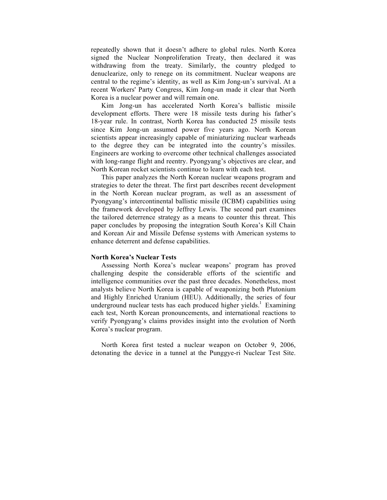repeatedly shown that it doesn't adhere to global rules. North Korea signed the Nuclear Nonproliferation Treaty, then declared it was withdrawing from the treaty. Similarly, the country pledged to denuclearize, only to renege on its commitment. Nuclear weapons are central to the regime's identity, as well as Kim Jong-un's survival. At a recent Workers' Party Congress, Kim Jong-un made it clear that North Korea is a nuclear power and will remain one.

Kim Jong-un has accelerated North Korea's ballistic missile development efforts. There were 18 missile tests during his father's 18-year rule. In contrast, North Korea has conducted 25 missile tests since Kim Jong-un assumed power five years ago. North Korean scientists appear increasingly capable of miniaturizing nuclear warheads to the degree they can be integrated into the country's missiles. Engineers are working to overcome other technical challenges associated with long-range flight and reentry. Pyongyang's objectives are clear, and North Korean rocket scientists continue to learn with each test.

This paper analyzes the North Korean nuclear weapons program and strategies to deter the threat. The first part describes recent development in the North Korean nuclear program, as well as an assessment of Pyongyang's intercontinental ballistic missile (ICBM) capabilities using the framework developed by Jeffrey Lewis. The second part examines the tailored deterrence strategy as a means to counter this threat. This paper concludes by proposing the integration South Korea's Kill Chain and Korean Air and Missile Defense systems with American systems to enhance deterrent and defense capabilities.

# **North Korea's Nuclear Tests**

Assessing North Korea's nuclear weapons' program has proved challenging despite the considerable efforts of the scientific and intelligence communities over the past three decades. Nonetheless, most analysts believe North Korea is capable of weaponizing both Plutonium and Highly Enriched Uranium (HEU). Additionally, the series of four underground nuclear tests has each produced higher yields.<sup>1</sup> Examining each test, North Korean pronouncements, and international reactions to verify Pyongyang's claims provides insight into the evolution of North Korea's nuclear program.

North Korea first tested a nuclear weapon on October 9, 2006, detonating the device in a tunnel at the Punggye-ri Nuclear Test Site.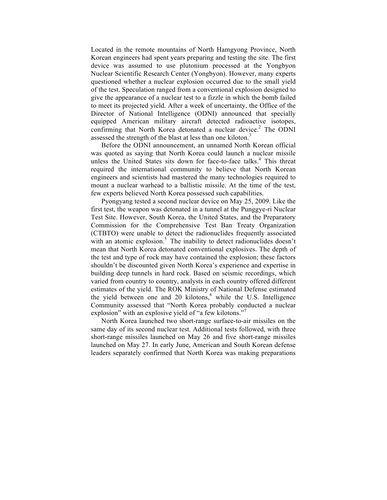Located in the remote mountains of North Hamgyong Province, North Korean engineers had spent years preparing and testing the site. The first device was assumed to use plutonium processed at the Yongbyon Nuclear Scientific Research Center (Yongbyon). However, many experts questioned whether a nuclear explosion occurred due to the small yield of the test. Speculation ranged from a conventional explosion designed to give the appearance of a nuclear test to a fizzle in which the bomb failed to meet its projected yield. After a week of uncertainty, the Office of the Director of National Intelligence (ODNI) announced that specially equipped American military aircraft detected radioactive isotopes, confirming that North Korea detonated a nuclear device.<sup>2</sup> The ODNI assessed the strength of the blast at less than one kiloton.<sup>3</sup>

Before the ODNI announcement, an unnamed North Korean official was quoted as saying that North Korea could launch a nuclear missile unless the United States sits down for face-to-face talks.<sup>4</sup> This threat required the international community to believe that North Korean engineers and scientists had mastered the many technologies required to mount a nuclear warhead to a ballistic missile. At the time of the test, few experts believed North Korea possessed such capabilities.

Pyongyang tested a second nuclear device on May 25, 2009. Like the first test, the weapon was detonated in a tunnel at the Punggye-ri Nuclear Test Site. However, South Korea, the United States, and the Preparatory Commission for the Comprehensive Test Ban Treaty Organization (CTBTO) were unable to detect the radionuclides frequently associated with an atomic explosion.<sup>5</sup> The inability to detect radionuclides doesn't mean that North Korea detonated conventional explosives. The depth of the test and type of rock may have contained the explosion; these factors shouldn't be discounted given North Korea's experience and expertise in building deep tunnels in hard rock. Based on seismic recordings, which varied from country to country, analysts in each country offered different estimates of the yield. The ROK Ministry of National Defense estimated the yield between one and 20 kilotons, <sup>6</sup> while the U.S. Intelligence Community assessed that "North Korea probably conducted a nuclear explosion" with an explosive yield of "a few kilotons."<sup>7</sup>

North Korea launched two short-range surface-to-air missiles on the same day of its second nuclear test. Additional tests followed, with three short-range missiles launched on May 26 and five short-range missiles launched on May 27. In early June, American and South Korean defense leaders separately confirmed that North Korea was making preparations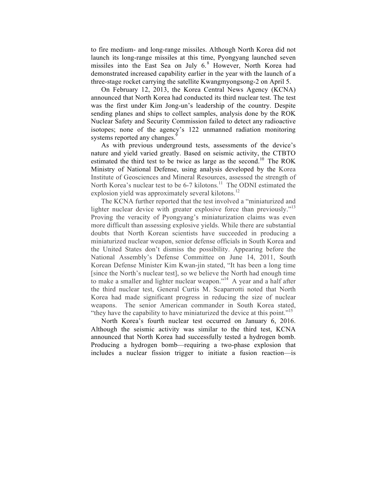to fire medium- and long-range missiles. Although North Korea did not launch its long-range missiles at this time, Pyongyang launched seven missiles into the East Sea on July  $6<sup>8</sup>$  However, North Korea had demonstrated increased capability earlier in the year with the launch of a three-stage rocket carrying the satellite Kwangmyongsong-2 on April 5.

On February 12, 2013, the Korea Central News Agency (KCNA) announced that North Korea had conducted its third nuclear test. The test was the first under Kim Jong-un's leadership of the country. Despite sending planes and ships to collect samples, analysis done by the ROK Nuclear Safety and Security Commission failed to detect any radioactive isotopes; none of the agency's 122 unmanned radiation monitoring systems reported any changes.<sup>9</sup>

As with previous underground tests, assessments of the device's nature and yield varied greatly. Based on seismic activity, the CTBTO estimated the third test to be twice as large as the second.<sup>10</sup> The ROK Ministry of National Defense, using analysis developed by the Korea Institute of Geosciences and Mineral Resources, assessed the strength of North Korea's nuclear test to be 6-7 kilotons.<sup>11</sup> The ODNI estimated the explosion yield was approximately several kilotons.<sup>12</sup>

The KCNA further reported that the test involved a "miniaturized and lighter nuclear device with greater explosive force than previously."<sup>13</sup> Proving the veracity of Pyongyang's miniaturization claims was even more difficult than assessing explosive yields. While there are substantial doubts that North Korean scientists have succeeded in producing a miniaturized nuclear weapon, senior defense officials in South Korea and the United States don't dismiss the possibility. Appearing before the National Assembly's Defense Committee on June 14, 2011, South Korean Defense Minister Kim Kwan-jin stated, "It has been a long time [since the North's nuclear test], so we believe the North had enough time to make a smaller and lighter nuclear weapon."<sup>14</sup> A year and a half after the third nuclear test, General Curtis M. Scaparrotti noted that North Korea had made significant progress in reducing the size of nuclear weapons. The senior American commander in South Korea stated, "they have the capability to have miniaturized the device at this point."<sup>15</sup>

North Korea's fourth nuclear test occurred on January 6, 2016. Although the seismic activity was similar to the third test, KCNA announced that North Korea had successfully tested a hydrogen bomb. Producing a hydrogen bomb—requiring a two-phase explosion that includes a nuclear fission trigger to initiate a fusion reaction—is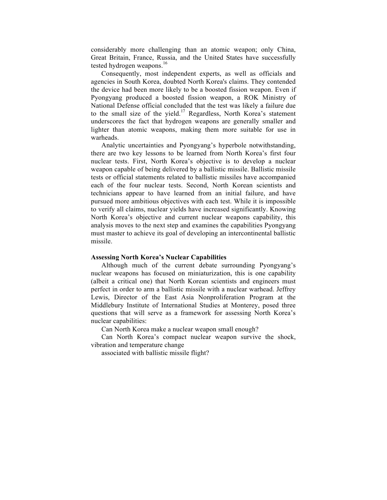considerably more challenging than an atomic weapon; only China, Great Britain, France, Russia, and the United States have successfully tested hydrogen weapons.<sup>16</sup>

Consequently, most independent experts, as well as officials and agencies in South Korea, doubted North Korea's claims. They contended the device had been more likely to be a boosted fission weapon. Even if Pyongyang produced a boosted fission weapon, a ROK Ministry of National Defense official concluded that the test was likely a failure due to the small size of the yield.<sup>17</sup> Regardless, North Korea's statement underscores the fact that hydrogen weapons are generally smaller and lighter than atomic weapons, making them more suitable for use in warheads.

Analytic uncertainties and Pyongyang's hyperbole notwithstanding, there are two key lessons to be learned from North Korea's first four nuclear tests. First, North Korea's objective is to develop a nuclear weapon capable of being delivered by a ballistic missile. Ballistic missile tests or official statements related to ballistic missiles have accompanied each of the four nuclear tests. Second, North Korean scientists and technicians appear to have learned from an initial failure, and have pursued more ambitious objectives with each test. While it is impossible to verify all claims, nuclear yields have increased significantly. Knowing North Korea's objective and current nuclear weapons capability, this analysis moves to the next step and examines the capabilities Pyongyang must master to achieve its goal of developing an intercontinental ballistic missile.

## **Assessing North Korea's Nuclear Capabilities**

Although much of the current debate surrounding Pyongyang's nuclear weapons has focused on miniaturization, this is one capability (albeit a critical one) that North Korean scientists and engineers must perfect in order to arm a ballistic missile with a nuclear warhead. Jeffrey Lewis, Director of the East Asia Nonproliferation Program at the Middlebury Institute of International Studies at Monterey, posed three questions that will serve as a framework for assessing North Korea's nuclear capabilities:

Can North Korea make a nuclear weapon small enough?

Can North Korea's compact nuclear weapon survive the shock, vibration and temperature change

associated with ballistic missile flight?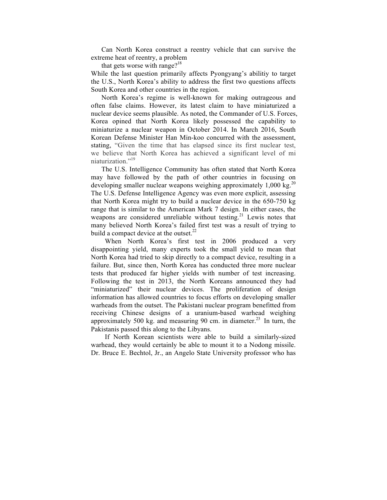Can North Korea construct a reentry vehicle that can survive the extreme heat of reentry, a problem

that gets worse with range? $18$ 

While the last question primarily affects Pyongyang's abilitiy to target the U.S., North Korea's ability to address the first two questions affects South Korea and other countries in the region.

North Korea's regime is well-known for making outrageous and often false claims. However, its latest claim to have miniaturized a nuclear device seems plausible. As noted, the Commander of U.S. Forces, Korea opined that North Korea likely possessed the capability to miniaturize a nuclear weapon in October 2014. In March 2016, South Korean Defense Minister Han Min-koo concurred with the assessment, stating, "Given the time that has elapsed since its first nuclear test, we believe that North Korea has achieved a significant level of mi niaturization."<sup>19</sup>

The U.S. Intelligence Community has often stated that North Korea may have followed by the path of other countries in focusing on developing smaller nuclear weapons weighing approximately  $1,000 \text{ kg}^{20}$ The U.S. Defense Intelligence Agency was even more explicit, assessing that North Korea might try to build a nuclear device in the 650-750 kg range that is similar to the American Mark 7 design. In either cases, the weapons are considered unreliable without testing.<sup>21</sup> Lewis notes that many believed North Korea's failed first test was a result of trying to build a compact device at the outset. $^{22}$ 

When North Korea's first test in 2006 produced a very disappointing yield, many experts took the small yield to mean that North Korea had tried to skip directly to a compact device, resulting in a failure. But, since then, North Korea has conducted three more nuclear tests that produced far higher yields with number of test increasing. Following the test in 2013, the North Koreans announced they had "miniaturized" their nuclear devices. The proliferation of design information has allowed countries to focus efforts on developing smaller warheads from the outset. The Pakistani nuclear program benefitted from receiving Chinese designs of a uranium-based warhead weighing approximately 500 kg. and measuring 90 cm. in diameter.<sup>23</sup> In turn, the Pakistanis passed this along to the Libyans.

If North Korean scientists were able to build a similarly-sized warhead, they would certainly be able to mount it to a Nodong missile. Dr. Bruce E. Bechtol, Jr., an Angelo State University professor who has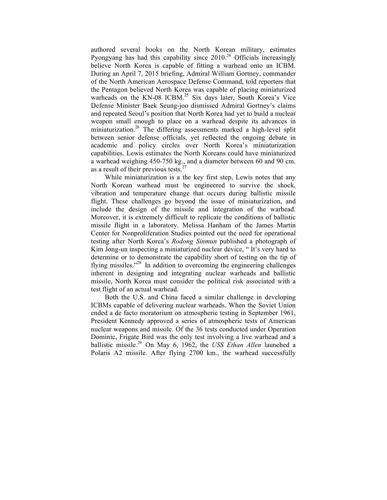authored several books on the North Korean military, estimates Pyongyang has had this capability since  $2010^{24}$  Officials increasingly believe North Korea is capable of fitting a warhead onto an ICBM. During an April 7, 2015 briefing, Admiral William Gortney, commander of the North American Aerospace Defense Command, told reporters that the Pentagon believed North Korea was capable of placing miniaturized warheads on the KN-08 ICBM.<sup>25</sup> Six days later, South Korea's Vice Defense Minister Baek Seung-joo dismissed Admiral Gortney's claims and repeated Seoul's position that North Korea had yet to build a nuclear weapon small enough to place on a warhead despite its advances in miniaturization.<sup>26</sup> The differing assessments marked a high-level split between senior defense officials, yet reflected the ongoing debate in academic and policy circles over North Korea's miniaturization capabilities. Lewis estimates the North Koreans could have miniaturized a warhead weighing 450-750 kg., and a diameter between 60 and 90 cm. as a result of their previous tests.<sup>2</sup>

While miniaturization is a the key first step, Lewis notes that any North Korean warhead must be engineered to survive the shock, vibration and temperature change that occurs during ballistic missile flight. These challenges go beyond the issue of miniaturization, and include the design of the missile and integration of the warhead. Moreover, it is extremely difficult to replicate the conditions of ballistic missile flight in a laboratory. Melissa Hanham of the James Martin Center for Nonproliferation Studies pointed out the need for operational testing after North Korea's *Rodong Sinmun* published a photograph of Kim Jong-un inspecting a miniaturized nuclear device, " It's very hard to determine or to demonstrate the capability short of testing on the tip of flying missiles."<sup>28</sup> In addition to overcoming the engineering challenges inherent in designing and integrating nuclear warheads and ballistic missile, North Korea must consider the political risk associated with a test flight of an actual warhead.

Both the U.S. and China faced a similar challenge in developing ICBMs capable of delivering nuclear warheads. When the Soviet Union ended a de facto moratorium on atmospheric testing in September 1961, President Kennedy approved a series of atmospheric tests of American nuclear weapons and missile. Of the 36 tests conducted under Operation Dominic, Frigate Bird was the only test involving a live warhead and a ballistic missile.29 On May 6, 1962, the *USS Ethan Allen* launched a Polaris A2 missile. After flying 2700 km., the warhead successfully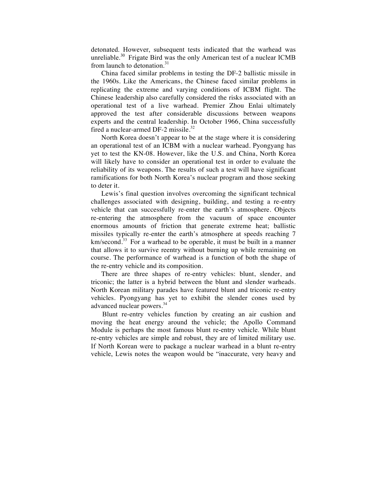detonated. However, subsequent tests indicated that the warhead was unreliable.<sup>30</sup> Frigate Bird was the only American test of a nuclear ICMB from launch to detonation.<sup>31</sup>

China faced similar problems in testing the DF-2 ballistic missile in the 1960s. Like the Americans, the Chinese faced similar problems in replicating the extreme and varying conditions of ICBM flight. The Chinese leadership also carefully considered the risks associated with an operational test of a live warhead. Premier Zhou Enlai ultimately approved the test after considerable discussions between weapons experts and the central leadership. In October 1966, China successfully fired a nuclear-armed DF-2 missile.<sup>32</sup>

North Korea doesn't appear to be at the stage where it is considering an operational test of an ICBM with a nuclear warhead. Pyongyang has yet to test the KN-08. However, like the U.S. and China, North Korea will likely have to consider an operational test in order to evaluate the reliability of its weapons. The results of such a test will have significant ramifications for both North Korea's nuclear program and those seeking to deter it.

Lewis's final question involves overcoming the significant technical challenges associated with designing, building, and testing a re-entry vehicle that can successfully re-enter the earth's atmosphere. Objects re-entering the atmosphere from the vacuum of space encounter enormous amounts of friction that generate extreme heat; ballistic missiles typically re-enter the earth's atmosphere at speeds reaching 7 km/second.<sup>33</sup> For a warhead to be operable, it must be built in a manner that allows it to survive reentry without burning up while remaining on course. The performance of warhead is a function of both the shape of the re-entry vehicle and its composition.

There are three shapes of re-entry vehicles: blunt, slender, and triconic; the latter is a hybrid between the blunt and slender warheads. North Korean military parades have featured blunt and triconic re-entry vehicles. Pyongyang has yet to exhibit the slender cones used by advanced nuclear powers.<sup>34</sup>

Blunt re-entry vehicles function by creating an air cushion and moving the heat energy around the vehicle; the Apollo Command Module is perhaps the most famous blunt re-entry vehicle. While blunt re-entry vehicles are simple and robust, they are of limited military use. If North Korean were to package a nuclear warhead in a blunt re-entry vehicle, Lewis notes the weapon would be "inaccurate, very heavy and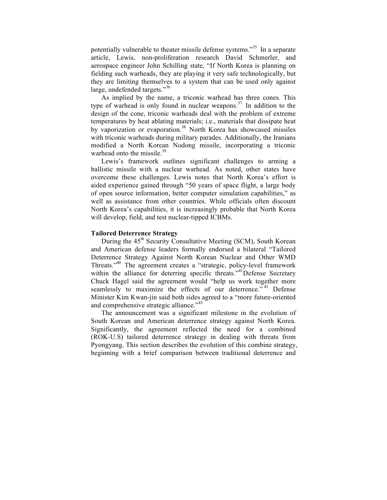potentially vulnerable to theater missile defense systems."<sup>35</sup> In a separate article, Lewis, non-proliferation research David Schmerler, and aerospace engineer John Schilling state, "If North Korea is planning on fielding such warheads, they are playing it very safe technologically, but they are limiting themselves to a system that can be used only against large, undefended targets."36

As implied by the name, a triconic warhead has three cones. This type of warhead is only found in nuclear weapons.<sup>37</sup> In addition to the design of the cone, triconic warheads deal with the problem of extreme temperatures by heat ablating materials; i.e., materials that dissipate heat by vaporization or evaporation.<sup>38</sup> North Korea has showcased missiles with triconic warheads during military parades. Additionally, the Iranians modified a North Korean Nodong missile, incorporating a triconic warhead onto the missile.<sup>39</sup>

Lewis's framework outlines significant challenges to arming a ballistic missile with a nuclear warhead. As noted, other states have overcome these challenges. Lewis notes that North Korea's effort is aided experience gained through "50 years of space flight, a large body of open source information, better computer simulation capabilities," as well as assistance from other countries. While officials often discount North Korea's capabilities, it is increasingly probable that North Korea will develop, field, and test nuclear-tipped ICBMs.

#### **Tailored Deterrence Strategy**

During the 45<sup>th</sup> Security Consultative Meeting (SCM), South Korean and American defense leaders formally endorsed a bilateral "Tailored Deterrence Strategy Against North Korean Nuclear and Other WMD Threats."<sup>40</sup> The agreement creates a "strategic, policy-level framework within the alliance for deterring specific threats."<sup>41</sup>Defense Secretary Chuck Hagel said the agreement would "help us work together more seamlessly to maximize the effects of our deterrence."<sup>42</sup> Defense Minister Kim Kwan-jin said both sides agreed to a "more future-oriented and comprehensive strategic alliance."<sup>43</sup>

The announcement was a significant milestone in the evolution of South Korean and American deterrence strategy against North Korea. Significantly, the agreement reflected the need for a combined (ROK-U.S) tailored deterrence strategy in dealing with threats from Pyongyang. This section describes the evolution of this combine strategy, beginning with a brief comparison between traditional deterrence and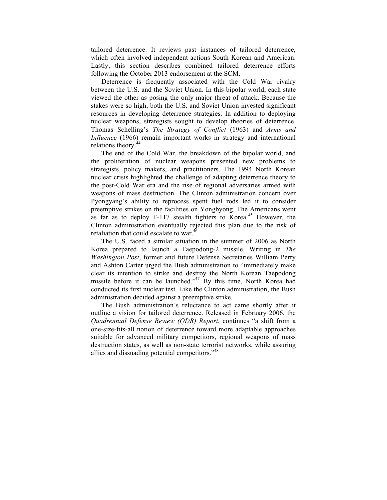tailored deterrence. It reviews past instances of tailored deterrence, which often involved independent actions South Korean and American. Lastly, this section describes combined tailored deterrence efforts following the October 2013 endorsement at the SCM.

Deterrence is frequently associated with the Cold War rivalry between the U.S. and the Soviet Union. In this bipolar world, each state viewed the other as posing the only major threat of attack. Because the stakes were so high, both the U.S. and Soviet Union invested significant resources in developing deterrence strategies. In addition to deploying nuclear weapons, strategists sought to develop theories of deterrence. Thomas Schelling's *The Strategy of Conflict* (1963) and *Arms and Influence* (1966) remain important works in strategy and international relations theory.<sup>44</sup>

The end of the Cold War, the breakdown of the bipolar world, and the proliferation of nuclear weapons presented new problems to strategists, policy makers, and practitioners. The 1994 North Korean nuclear crisis highlighted the challenge of adapting deterrence theory to the post-Cold War era and the rise of regional adversaries armed with weapons of mass destruction. The Clinton administration concern over Pyongyang's ability to reprocess spent fuel rods led it to consider preemptive strikes on the facilities on Yongbyong. The Americans went as far as to deploy F-117 stealth fighters to Korea.<sup>45</sup> However, the Clinton administration eventually rejected this plan due to the risk of retaliation that could escalate to war.<sup>46</sup>

The U.S. faced a similar situation in the summer of 2006 as North Korea prepared to launch a Taepodong-2 missile. Writing in *The Washington Post*, former and future Defense Secretaries William Perry and Ashton Carter urged the Bush administration to "immediately make clear its intention to strike and destroy the North Korean Taepodong missile before it can be launched.<sup> $347$ </sup> By this time, North Korea had conducted its first nuclear test. Like the Clinton administration, the Bush administration decided against a preemptive strike.

The Bush administration's reluctance to act came shortly after it outline a vision for tailored deterrence. Released in February 2006, the *Quadrennial Defense Review (QDR) Report*, continues "a shift from a one-size-fits-all notion of deterrence toward more adaptable approaches suitable for advanced military competitors, regional weapons of mass destruction states, as well as non-state terrorist networks, while assuring allies and dissuading potential competitors."<sup>48</sup>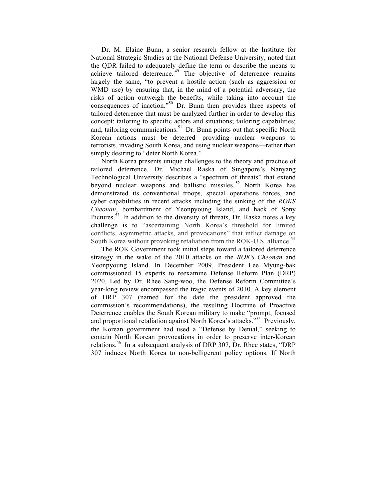Dr. M. Elaine Bunn, a senior research fellow at the Institute for National Strategic Studies at the National Defense University, noted that the QDR failed to adequately define the term or describe the means to achieve tailored deterrence. <sup>49</sup> The objective of deterrence remains largely the same, "to prevent a hostile action (such as aggression or WMD use) by ensuring that, in the mind of a potential adversary, the risks of action outweigh the benefits, while taking into account the consequences of inaction." <sup>50</sup> Dr. Bunn then provides three aspects of tailored deterrence that must be analyzed further in order to develop this concept: tailoring to specific actors and situations; tailoring capabilities; and, tailoring communications.<sup>51</sup> Dr. Bunn points out that specific North Korean actions must be deterred—providing nuclear weapons to terrorists, invading South Korea, and using nuclear weapons—rather than simply desiring to "deter North Korea."

North Korea presents unique challenges to the theory and practice of tailored deterrence. Dr. Michael Raska of Singapore's Nanyang Technological University describes a "spectrum of threats" that extend beyond nuclear weapons and ballistic missiles.<sup>52</sup> North Korea has demonstrated its conventional troops, special operations forces, and cyber capabilities in recent attacks including the sinking of the *ROKS Cheonan*, bombardment of Yeonpyoung Island, and hack of Sony Pictures.<sup>53</sup> In addition to the diversity of threats, Dr. Raska notes a key challenge is to "ascertaining North Korea's threshold for limited conflicts, asymmetric attacks, and provocations" that inflict damage on South Korea without provoking retaliation from the ROK-U.S. alliance.<sup>54</sup>

The ROK Government took initial steps toward a tailored deterrence strategy in the wake of the 2010 attacks on the *ROKS Cheonan* and Yeonpyoung Island. In December 2009, President Lee Myung-bak commissioned 15 experts to reexamine Defense Reform Plan (DRP) 2020. Led by Dr. Rhee Sang-woo, the Defense Reform Committee's year-long review encompassed the tragic events of 2010. A key element of DRP 307 (named for the date the president approved the commission's recommendations), the resulting Doctrine of Proactive Deterrence enables the South Korean military to make "prompt, focused and proportional retaliation against North Korea's attacks."<sup>55</sup> Previously, the Korean government had used a "Defense by Denial," seeking to contain North Korean provocations in order to preserve inter-Korean relations.<sup>56</sup> In a subsequent analysis of DRP 307, Dr. Rhee states, "DRP 307 induces North Korea to non-belligerent policy options. If North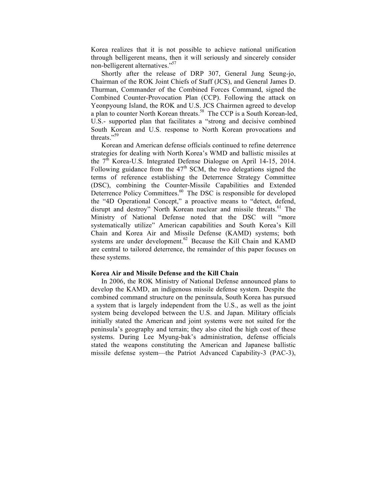Korea realizes that it is not possible to achieve national unification through belligerent means, then it will seriously and sincerely consider non-belligerent alternatives."57

Shortly after the release of DRP 307, General Jung Seung-jo, Chairman of the ROK Joint Chiefs of Staff (JCS), and General James D. Thurman, Commander of the Combined Forces Command, signed the Combined Counter-Provocation Plan (CCP). Following the attack on Yeonpyoung Island, the ROK and U.S. JCS Chairmen agreed to develop a plan to counter North Korean threats.<sup>58</sup> The CCP is a South Korean-led, U.S.- supported plan that facilitates a "strong and decisive combined South Korean and U.S. response to North Korean provocations and threats."<sup>59</sup>

Korean and American defense officials continued to refine deterrence strategies for dealing with North Korea's WMD and ballistic missiles at the  $7<sup>th</sup>$  Korea-U.S. Integrated Defense Dialogue on April 14-15, 2014. Following guidance from the  $47<sup>th</sup>$  SCM, the two delegations signed the terms of reference establishing the Deterrence Strategy Committee (DSC), combining the Counter-Missile Capabilities and Extended Deterrence Policy Committees.<sup>60</sup> The DSC is responsible for developed the "4D Operational Concept," a proactive means to "detect, defend, disrupt and destroy" North Korean nuclear and missile threats.<sup>61</sup> The Ministry of National Defense noted that the DSC will "more systematically utilize" American capabilities and South Korea's Kill Chain and Korea Air and Missile Defense (KAMD) systems; both systems are under development. $62$  Because the Kill Chain and KAMD are central to tailored deterrence, the remainder of this paper focuses on these systems.

#### **Korea Air and Missile Defense and the Kill Chain**

In 2006, the ROK Ministry of National Defense announced plans to develop the KAMD, an indigenous missile defense system. Despite the combined command structure on the peninsula, South Korea has pursued a system that is largely independent from the U.S., as well as the joint system being developed between the U.S. and Japan. Military officials initially stated the American and joint systems were not suited for the peninsula's geography and terrain; they also cited the high cost of these systems. During Lee Myung-bak's administration, defense officials stated the weapons constituting the American and Japanese ballistic missile defense system—the Patriot Advanced Capability-3 (PAC-3),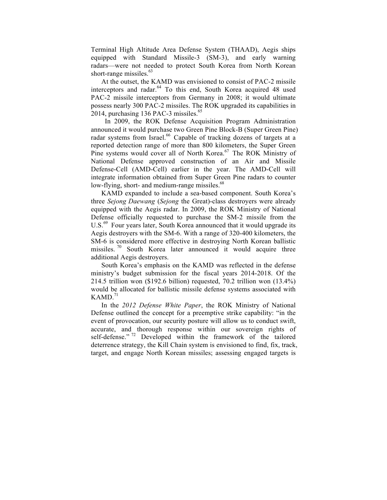Terminal High Altitude Area Defense System (THAAD), Aegis ships equipped with Standard Missile-3 (SM-3), and early warning radars—were not needed to protect South Korea from North Korean short-range missiles.<sup>63</sup>

At the outset, the KAMD was envisioned to consist of PAC-2 missile interceptors and radar.<sup>64</sup> To this end, South Korea acquired 48 used PAC-2 missile interceptors from Germany in 2008; it would ultimate possess nearly 300 PAC-2 missiles. The ROK upgraded its capabilities in 2014, purchasing 136 PAC-3 missiles. $\frac{65}{5}$ 

In 2009, the ROK Defense Acquisition Program Administration announced it would purchase two Green Pine Block-B (Super Green Pine) radar systems from Israel.<sup>66</sup> Capable of tracking dozens of targets at a reported detection range of more than 800 kilometers, the Super Green Pine systems would cover all of North Korea.<sup>67</sup> The ROK Ministry of National Defense approved construction of an Air and Missile Defense-Cell (AMD-Cell) earlier in the year. The AMD-Cell will integrate information obtained from Super Green Pine radars to counter low-flying, short- and medium-range missiles.<sup>68</sup>

KAMD expanded to include a sea-based component. South Korea's three *Sejong Daewang* (*Sejong* the Great)-class destroyers were already equipped with the Aegis radar. In 2009, the ROK Ministry of National Defense officially requested to purchase the SM-2 missile from the U.S.<sup>69</sup> Four years later, South Korea announced that it would upgrade its Aegis destroyers with the SM-6. With a range of 320-400 kilometers, the SM-6 is considered more effective in destroying North Korean ballistic missiles.  $70$  South Korea later announced it would acquire three additional Aegis destroyers.

South Korea's emphasis on the KAMD was reflected in the defense ministry's budget submission for the fiscal years 2014-2018. Of the 214.5 trillion won (\$192.6 billion) requested, 70.2 trillion won (13.4%) would be allocated for ballistic missile defense systems associated with  $KAMD.<sup>71</sup>$ 

In the *2012 Defense White Paper*, the ROK Ministry of National Defense outlined the concept for a preemptive strike capability: "in the event of provocation, our security posture will allow us to conduct swift, accurate, and thorough response within our sovereign rights of self-defense."<sup>72</sup> Developed within the framework of the tailored deterrence strategy, the Kill Chain system is envisioned to find, fix, track, target, and engage North Korean missiles; assessing engaged targets is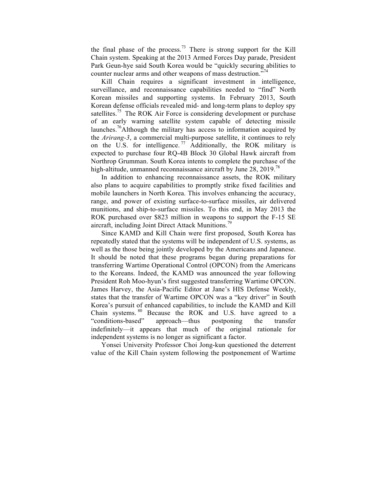the final phase of the process.<sup>73</sup> There is strong support for the Kill Chain system. Speaking at the 2013 Armed Forces Day parade, President Park Geun-hye said South Korea would be "quickly securing abilities to counter nuclear arms and other weapons of mass destruction."<sup>74</sup>

Kill Chain requires a significant investment in intelligence, surveillance, and reconnaissance capabilities needed to "find" North Korean missiles and supporting systems. In February 2013, South Korean defense officials revealed mid- and long-term plans to deploy spy satellites.<sup>75</sup> The ROK Air Force is considering development or purchase of an early warning satellite system capable of detecting missile launches.<sup>76</sup>Although the military has access to information acquired by the *Arirang-3*, a commercial multi-purpose satellite, it continues to rely on the U.S. for intelligence.<sup>77</sup> Additionally, the ROK military is expected to purchase four RQ-4B Block 30 Global Hawk aircraft from Northrop Grumman. South Korea intents to complete the purchase of the high-altitude, unmanned reconnaissance aircraft by June 28, 2019.<sup>78</sup>

In addition to enhancing reconnaissance assets, the ROK military also plans to acquire capabilities to promptly strike fixed facilities and mobile launchers in North Korea. This involves enhancing the accuracy, range, and power of existing surface-to-surface missiles, air delivered munitions, and ship-to-surface missiles. To this end, in May 2013 the ROK purchased over \$823 million in weapons to support the F-15 SE aircraft, including Joint Direct Attack Munitions.<sup>79</sup>

Since KAMD and Kill Chain were first proposed, South Korea has repeatedly stated that the systems will be independent of U.S. systems, as well as the those being jointly developed by the Americans and Japanese. It should be noted that these programs began during preparations for transferring Wartime Operational Control (OPCON) from the Americans to the Koreans. Indeed, the KAMD was announced the year following President Roh Moo-hyun's first suggested transferring Wartime OPCON. James Harvey, the Asia-Pacific Editor at Jane's HIS Defense Weekly, states that the transfer of Wartime OPCON was a "key driver" in South Korea's pursuit of enhanced capabilities, to include the KAMD and Kill Chain systems. <sup>80</sup> Because the ROK and U.S. have agreed to a "conditions-based" approach—thus postponing the transfer indefinitely—it appears that much of the original rationale for independent systems is no longer as significant a factor.

Yonsei University Professor Choi Jong-kun questioned the deterrent value of the Kill Chain system following the postponement of Wartime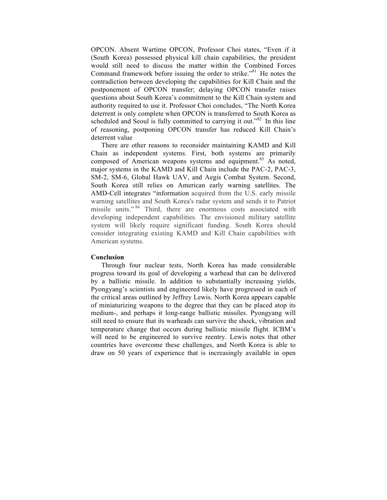OPCON. Absent Wartime OPCON, Professor Choi states, "Even if it (South Korea) possessed physical kill chain capabilities, the president would still need to discuss the matter within the Combined Forces Command framework before issuing the order to strike."<sup>81</sup> He notes the contradiction between developing the capabilities for Kill Chain and the postponement of OPCON transfer; delaying OPCON transfer raises questions about South Korea's commitment to the Kill Chain system and authority required to use it. Professor Choi concludes, "The North Korea deterrent is only complete when OPCON is transferred to South Korea as scheduled and Seoul is fully committed to carrying it out." $82$  In this line of reasoning, postponing OPCON transfer has reduced Kill Chain's deterrent value

There are other reasons to reconsider maintaining KAMD and Kill Chain as independent systems. First, both systems are primarily composed of American weapons systems and equipment.<sup>83</sup> As noted, major systems in the KAMD and Kill Chain include the PAC-2, PAC-3, SM-2, SM-6, Global Hawk UAV, and Aegis Combat System. Second, South Korea still relies on American early warning satellites. The AMD-Cell integrates "information acquired from the U.S. early missile warning satellites and South Korea's radar system and sends it to Patriot missile units." <sup>84</sup> Third, there are enormous costs associated with developing independent capabilities. The envisioned military satellite system will likely require significant funding. South Korea should consider integrating existing KAMD and Kill Chain capabilities with American systems.

#### **Conclusion**

Through four nuclear tests, North Korea has made considerable progress toward its goal of developing a warhead that can be delivered by a ballistic missile. In addition to substantially increasing yields, Pyongyang's scientists and engineered likely have progressed in each of the critical areas outlined by Jeffrey Lewis. North Korea appears capable of miniaturizing weapons to the degree that they can be placed atop its medium-, and perhaps it long-range ballistic missiles. Pyongyang will still need to ensure that its warheads can survive the shock, vibration and temperature change that occurs during ballistic missile flight. ICBM's will need to be engineered to survive reentry. Lewis notes that other countries have overcome these challenges, and North Korea is able to draw on 50 years of experience that is increasingly available in open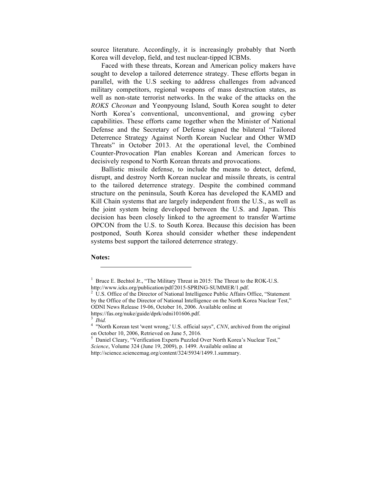source literature. Accordingly, it is increasingly probably that North Korea will develop, field, and test nuclear-tipped ICBMs.

Faced with these threats, Korean and American policy makers have sought to develop a tailored deterrence strategy. These efforts began in parallel, with the U.S seeking to address challenges from advanced military competitors, regional weapons of mass destruction states, as well as non-state terrorist networks. In the wake of the attacks on the *ROKS Cheonan* and Yeonpyoung Island, South Korea sought to deter North Korea's conventional, unconventional, and growing cyber capabilities. These efforts came together when the Minister of National Defense and the Secretary of Defense signed the bilateral "Tailored Deterrence Strategy Against North Korean Nuclear and Other WMD Threats" in October 2013. At the operational level, the Combined Counter-Provocation Plan enables Korean and American forces to decisively respond to North Korean threats and provocations.

Ballistic missile defense, to include the means to detect, defend, disrupt, and destroy North Korean nuclear and missile threats, is central to the tailored deterrence strategy. Despite the combined command structure on the peninsula, South Korea has developed the KAMD and Kill Chain systems that are largely independent from the U.S., as well as the joint system being developed between the U.S. and Japan. This decision has been closely linked to the agreement to transfer Wartime OPCON from the U.S. to South Korea. Because this decision has been postponed, South Korea should consider whether these independent systems best support the tailored deterrence strategy.

# **Notes:** j

https://fas.org/nuke/guide/dprk/odni101606.pdf.

<sup>&</sup>lt;sup>1</sup> Bruce E. Bechtol Jr., "The Military Threat in 2015: The Threat to the ROK-U.S.

http://www.icks.org/publication/pdf/2015-SPRING-SUMMER/1.pdf.<br><sup>2</sup> U.S. Office of the Director of National Intelligence Public Affairs Office, "Statement by the Office of the Director of National Intelligence on the North Korea Nuclear Test," ODNI News Release 19-06, October 16, 2006. Available online at

<sup>&</sup>lt;sup>3</sup> *Ibid.* <sup>4</sup> "North Korean test 'went wrong,' U.S. official says", *CNN*, archived from the original on October 10, 2006, Retrieved on June 5, 2016.<br><sup>5</sup> Daniel Cleary, "Verification Experts Puzzled Over North Korea's Nuclear Test,"

*Science*, Volume 324 (June 19, 2009), p. 1499. Available online at

http://science.sciencemag.org/content/324/5934/1499.1.summary.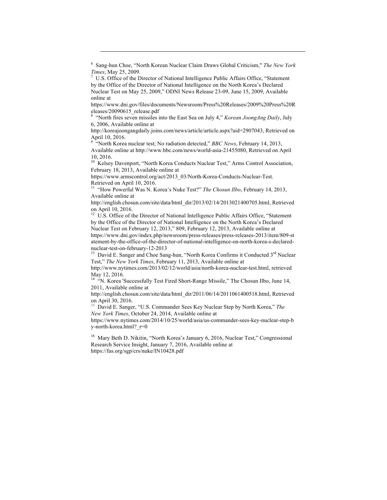<sup>6</sup> Sang-hun Choe, "North Korean Nuclear Claim Draws Global Criticism," *The New York Times*, May 25, 2009.<br><sup>7</sup> U.S. Office of the Director of National Intelligence Public Affairs Office, "Statement

j

by the Office of the Director of National Intelligence on the North Korea's Declared Nuclear Test on May 25, 2009," ODNI News Release 23-09, June 15, 2009, Available online at

https://www.dni.gov/files/documents/Newsroom/Press%20Releases/2009%20Press%20R eleases/20090615\_release.pdf

<sup>8</sup> "North fires seven missiles into the East Sea on July 4," *Korean JoongAng Daily*, July 6, 2006, Available online at

http://koreajoongangdaily.joins.com/news/article/article.aspx?aid=2907043, Retrieved on April 10, 2016.

"North Korea nuclear test; No radiation detected," *BBC News*, February 14, 2013, Available online at http://www.bbc.com/news/world-asia-21455080, Retrieved on April 10, 2016.<br><sup>10</sup> Kelsey Davenport, "North Korea Conducts Nuclear Test," Arms Control Association,

February 18, 2013, Available online at

https://www.armscontrol.org/act/2013\_03/North-Korea-Conducts-Nuclear-Test.

Retrieved on April 10, 2016.<br><sup>11</sup> "How Powerful Was N. Korea's Nuke Test?" *The Chosun Ilbo*, February 14, 2013, Available online at

http://english.chosun.com/site/data/html\_dir/2013/02/14/2013021400705.html, Retrieved on April 10, 2016.<br><sup>12</sup> U.S. Office of the Director of National Intelligence Public Affairs Office, "Statement

by the Office of the Director of National Intelligence on the North Korea's Declared Nuclear Test on February 12, 2013," 809, February 12, 2013, Available online at https://www.dni.gov/index.php/newsroom/press-releases/press-releases-2013/item/809-st atement-by-the-office-of-the-director-of-national-intelligence-on-north-korea-s-declared-

nuclear-test-on-february-12-2013<br><sup>13</sup> David E. Sanger and Choe Sang-hun, "North Korea Confirms it Conducted 3<sup>rd</sup> Nuclear Test," *The New York Times*, February 11, 2013, Available online at

http://www.nytimes.com/2013/02/12/world/asia/north-korea-nuclear-test.html, retrieved May 12, 2016.<br><sup>14</sup> "N. Korea 'Successfully Test Fired Short-Range Missile," The Chosun Ilbo, June 14,

2011, Available online at

http://english.chosun.com/site/data/html\_dir/2011/06/14/2011061400518.html, Retrieved on April 30, 2016.

<sup>15</sup> David E. Sanger, "U.S. Commander Sees Key Nuclear Step by North Korea," *The New York Times*, October 24, 2014, Available online at

https://www.nytimes.com/2014/10/25/world/asia/us-commander-sees-key-nuclear-step-b y-north-korea.html? r=0

<sup>16</sup> Mary Beth D. Nikitin, "North Korea's January 6, 2016, Nuclear Test," Congressional Research Service Insight, January 7, 2016, Available online at https://fas.org/sgp/crs/nuke/IN10428.pdf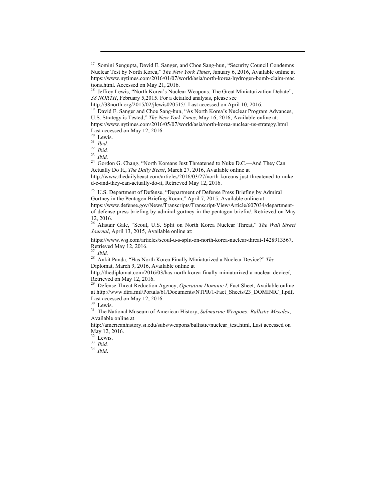j

<sup>20</sup> Lewis.<br><sup>21</sup> *Ibid.* <sup>22</sup> *Ibid.* <sup>23</sup> *Ibid.* <sup>23</sup> *Abid.* <sup>24</sup> Gordon G. Chang, "North Koreans Just Threatened to Nuke D.C.—And They Can Actually Do It., *The Daily Beast*, March 27, 2016, Available online at http://www.thedailybeast.com/articles/2016/03/27/north-koreans-just-threatened-to-nuked-c-and-they-can-actually-do-it, Retrieved May 12, 2016.

<sup>25</sup> U.S. Department of Defense, "Department of Defense Press Briefing by Admiral Gortney in the Pentagon Briefing Room," April 7, 2015, Available online at https://www.defense.gov/News/Transcripts/Transcript-View/Article/607034/departmentof-defense-press-briefing-by-admiral-gortney-in-the-pentagon-briefin/, Retrieved on May 12, 2016.

<sup>26</sup> Alistair Gale, "Seoul, U.S. Split on North Korea Nuclear Threat," *The Wall Street Journal*, April 13, 2015, Available online at:

https://www.wsj.com/articles/seoul-u-s-split-on-north-korea-nuclear-threat-1428913567, Retrieved May 12, 2016.<br><sup>27</sup> *Ibid.* 28 Ankit Panda, "Has North Korea Finally Miniaturized a Nuclear Device?" *The* 

Diplomat, March 9, 2016, Available online at

http://thediplomat.com/2016/03/has-north-korea-finally-miniaturized-a-nuclear-device/, Retrieved on May 12, 2016.

<sup>29</sup> Defense Threat Reduction Agency, *Operation Dominic I*, Fact Sheet, Available online at http://www.dtra.mil/Portals/61/Documents/NTPR/1-Fact\_Sheets/23\_DOMINIC\_I.pdf, Last accessed on May 12, 2016.

<sup>30</sup> Lewis. <sup>31</sup> The National Museum of American History, *Submarine Weapons: Ballistic Missiles*, Available online at

http://americanhistory.si.edu/subs/weapons/ballistic/nuclear\_test.html, Last accessed on May 12, 2016.<br><sup>32</sup> Lewis.

<sup>32</sup> Lewis. <sup>33</sup> *Ibid.* <sup>34</sup> *Ibid*.

<sup>&</sup>lt;sup>17</sup> Somini Sengupta, David E. Sanger, and Choe Sang-hun, "Security Council Condemns Nuclear Test by North Korea," *The New York Times*, January 6, 2016, Available online at https://www.nytimes.com/2016/01/07/world/asia/north-korea-hydrogen-bomb-claim-reac tions.html. Accessed on May 21, 2016.<br><sup>18</sup> Jeffrey Lewis, "North Korea's Nuclear Weapons: The Great Miniaturization Debate",

*<sup>38</sup> NORTH*, February 5,2015. For a detailed analysis, please see

http://38north.org/2015/02/jlewis020515/. Last accessed on April 10, 2016.<br><sup>19</sup> David E. Sanger and Choe Sang-hun, "As North Korea's Nuclear Program Advances, U.S. Strategy is Tested," *The New York Times*, May 16, 2016, Available online at: https://www.nytimes.com/2016/05/07/world/asia/north-korea-nuclear-us-strategy.html Last accessed on May 12, 2016.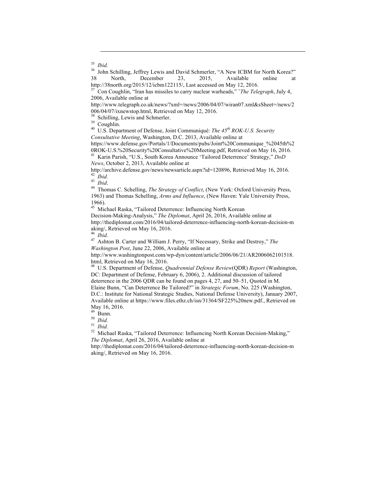j

<sup>35</sup> *Ibid.* 36 John Schilling, Jeffrey Lewis and David Schmerler, "A New ICBM for North Korea?" 38 North, December 23, 2015, Available online at

http://38north.org/2015/12/icbm122115/, Last accessed on May 12, 2016. 37 Con Coughlin, "Iran has missiles to carry nuclear warheads," ˆ*The Telegraph*, July 4, 2006, Available online at

http://www.telegraph.co.uk/news/?xml=/news/2006/04/07/wiran07.xml&sSheet=/news/2 006/04/07/ixnewstop.html, Retrieved on May 12, 2016. <sup>38</sup> Schilling, Lewis and Schmerler. <sup>39</sup> Coughlin. <sup>40</sup> U.S. Department of Defense, Joint Communiqué: *The 45th ROK-U.S. Security* 

*Consultative Meeting*, Washington, D.C. 2013, Available online at

https://www.defense.gov/Portals/1/Documents/pubs/Joint%20Communique\_%2045th%2 0ROK-U.S.%20Security%20Consultative%20Meeting.pdf, Retrieved on May 16, 2016. 41 Karin Parish, "U.S., South Korea Announce 'Tailored Deterrence' Strategy," *DoD* 

*News*, October 2, 2013, Available online at http://archive.defense.gov/news/newsarticle.aspx?id=120896, Retrieved May 16, 2016.

<sup>42</sup> *Ibid.*<br><sup>43</sup> *Ibid.* 43 *Ibid.* 44 Thomas C. Schelling, *The Strategy of Conflict*, (New York: Oxford University Press,

1963) and Thomas Schelling, *Arms and Influence*, (New Haven: Yale University Press, 1966).

<sup>45</sup> Michael Raska, "Tailored Deterrence: Influencing North Korean Decision-Making-Analysis," *The Diplomat*, April 26, 2016, Available online at http://thediplomat.com/2016/04/tailored-deterrence-influencing-north-korean-decision-m

<sup>46</sup> *Ibid.* 47 *Ashton B. Carter and William J. Perry,* "If Necessary, Strike and Destroy," *The Washington Post*, June 22, 2006, Available online at

http://www.washingtonpost.com/wp-dyn/content/article/2006/06/21/AR2006062101518. html, Retrieved on May 16, 2016.<br><sup>48</sup> U.S. Department of Defense, *Quadrennial Defense Review*(QDR) *Report* (Washington,

DC: Department of Defense, February 6, 2006), 2. Additional discussion of tailored deterrence in the 2006 QDR can be found on pages 4, 27, and 50–51, Quoted in M.

Elaine Bunn, "Can Deterrence Be Tailored?" in *Strategic Forum*, No. 225 (Washington, D.C.: Institute for National Strategic Studies, National Defense University), January 2007, Available online at https://www.files.ethz.ch/isn/31364/SF225%20new.pdf., Retrieved on May 16, 2016.<br><sup>49</sup> Bunn.

<sup>49</sup> Bunn. <sup>50</sup> *Ibid.* <sup>51</sup> *Ibid.* <sup>52</sup> Michael Raska, "Tailored Deterrence: Influencing North Korean Decision-Making," *The Diplomat*, April 26, 2016, Available online at

http://thediplomat.com/2016/04/tailored-deterrence-influencing-north-korean-decision-m aking/, Retrieved on May 16, 2016.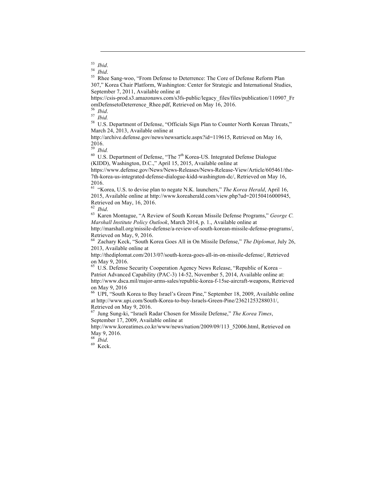j

<sup>53</sup> *Ibid.*<br><sup>54</sup> *Ibid.*<br><sup>55</sup> Rhee Sang-woo, "From Defense to Deterrence: The Core of Defense Reform Plan 307," Korea Chair Platform, Washington: Center for Strategic and International Studies, September 7, 2011, Available online at

https://csis-prod.s3.amazonaws.com/s3fs-public/legacy\_files/files/publication/110907\_Fr omDefensetoDeterrence\_Rhee.pdf, Retrieved on May 16, 2016.<br><sup>56</sup> *Ibid.*<br><sup>57</sup> *Ibid.* 58 U.S. Department of Defense, "Officials Sign Plan to Counter North Korean Threats,"

March 24, 2013, Available online at

http://archive.defense.gov/news/newsarticle.aspx?id=119615, Retrieved on May 16,  $\frac{2016.}{^{59}}$  Ibid.

<sup>59</sup> *Ibid.* <sup>60</sup> U.S. Department of Defense, "The 7th Korea-US. Integrated Defense Dialogue (KIDD), Washington, D.C.," April 15, 2015, Available online at

https://www.defense.gov/News/News-Releases/News-Release-View/Article/605461/the-7th-korea-us-integrated-defense-dialogue-kidd-washington-dc/, Retrieved on May 16, 2016.

<sup>61</sup> "Korea, U.S. to devise plan to negate N.K. launchers," *The Korea Herald*, April 16, 2015, Available online at http://www.koreaherald.com/view.php?ud=20150416000945, Retrieved on May, 16, 2016.<br> $62$  *Ihid.* 

<sup>63</sup> Karen Montague, "A Review of South Korean Missile Defense Programs," *George C. Marshall Institute Policy Outlook*, March 2014, p. 1., Available online at

http://marshall.org/missile-defense/a-review-of-south-korean-missile-defense-programs/, Retrieved on May, 9, 2016.

<sup>64</sup> Zachary Keck, "South Korea Goes All in On Missile Defense," *The Diplomat*, July 26, 2013, Available online at

http://thediplomat.com/2013/07/south-korea-goes-all-in-on-missile-defense/, Retrieved on May 9, 2016.

<sup>65</sup> U.S. Defense Security Cooperation Agency News Release, "Republic of Korea – Patriot Advanced Capability (PAC-3) 14-52, November 5, 2014, Available online at: http://www.dsca.mil/major-arms-sales/republic-korea-f-15se-aircraft-weapons, Retrieved on May 9, 2016

<sup>66</sup> UPI, "South Korea to Buy Israel's Green Pine," September 18, 2009, Available online at http://www.upi.com/South-Korea-to-buy-Israels-Green-Pine/23621253288031/, Retrieved on May 9, 2016.

<sup>67</sup> Jung Sung-ki, "Israeli Radar Chosen for Missile Defense," *The Korea Times*, September 17, 2009, Available online at

http://www.koreatimes.co.kr/www/news/nation/2009/09/113\_52006.html, Retrieved on May 9, 2016.

<sup>68</sup> *Ibid*. <sup>69</sup> Keck.